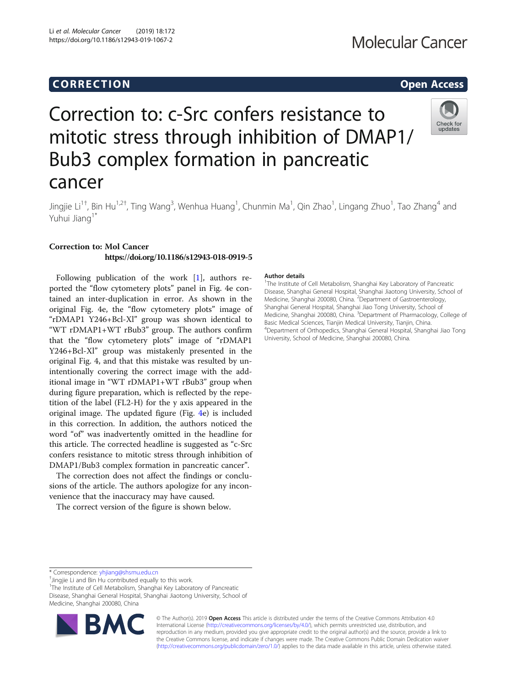# Corresponding to the corresponding to the corresponding to the corresponding to the corresponding to the corresponding to the corresponding to the corresponding to the corresponding to the corresponding to the correspondin

Check for updates

# Correction to: c-Src confers resistance to mitotic stress through inhibition of DMAP1/ Bub3 complex formation in pancreatic cancer

Jingjie Li<sup>1†</sup>, Bin Hu<sup>1,2†</sup>, Ting Wang<sup>3</sup>, Wenhua Huang<sup>1</sup>, Chunmin Ma<sup>1</sup>, Qin Zhao<sup>1</sup>, Lingang Zhuo<sup>1</sup>, Tao Zhang<sup>4</sup> and Yuhui Jiang<sup>1\*</sup>

## Correction to: Mol Cancer https://doi.org/10.1186/s12943-018-0919-5

Following publication of the work [[1\]](#page-2-0), authors reported the "flow cytometery plots" panel in Fig. 4e contained an inter-duplication in error. As shown in the original Fig. 4e, the "flow cytometery plots" image of "rDMAP1 Y246+Bcl-Xl" group was shown identical to "WT rDMAP1+WT rBub3" group. The authors confirm that the "flow cytometery plots" image of "rDMAP1 Y246+Bcl-Xl" group was mistakenly presented in the original Fig. 4, and that this mistake was resulted by unintentionally covering the correct image with the additional image in "WT rDMAP1+WT rBub3" group when during figure preparation, which is reflected by the repetition of the label (FL2-H) for the y axis appeared in the original image. The updated figure (Fig. [4e](#page-1-0)) is included in this correction. In addition, the authors noticed the word "of" was inadvertently omitted in the headline for this article. The corrected headline is suggested as "c-Src confers resistance to mitotic stress through inhibition of DMAP1/Bub3 complex formation in pancreatic cancer".

The correction does not affect the findings or conclusions of the article. The authors apologize for any inconvenience that the inaccuracy may have caused.

The correct version of the figure is shown below.

### Author details

<sup>1</sup>The Institute of Cell Metabolism, Shanghai Key Laboratory of Pancreatic Disease, Shanghai General Hospital, Shanghai Jiaotong University, School of Medicine, Shanghai 200080, China. <sup>2</sup>Department of Gastroenterology Shanghai General Hospital, Shanghai Jiao Tong University, School of Medicine, Shanghai 200080, China. <sup>3</sup>Department of Pharmacology, College of Basic Medical Sciences, Tianjin Medical University, Tianjin, China. 4 Department of Orthopedics, Shanghai General Hospital, Shanghai Jiao Tong University, School of Medicine, Shanghai 200080, China.

<sup>1</sup>The Institute of Cell Metabolism, Shanghai Key Laboratory of Pancreatic Disease, Shanghai General Hospital, Shanghai Jiaotong University, School of Medicine, Shanghai 200080, China



© The Author(s). 2019 **Open Access** This article is distributed under the terms of the Creative Commons Attribution 4.0 International License [\(http://creativecommons.org/licenses/by/4.0/](http://creativecommons.org/licenses/by/4.0/)), which permits unrestricted use, distribution, and reproduction in any medium, provided you give appropriate credit to the original author(s) and the source, provide a link to the Creative Commons license, and indicate if changes were made. The Creative Commons Public Domain Dedication waiver [\(http://creativecommons.org/publicdomain/zero/1.0/](http://creativecommons.org/publicdomain/zero/1.0/)) applies to the data made available in this article, unless otherwise stated.

<sup>\*</sup> Correspondence: [yhjiang@shsmu.edu.cn](mailto:yhjiang@shsmu.edu.cn) †

 $^{\dagger}$ Jingjie Li and Bin Hu contributed equally to this work.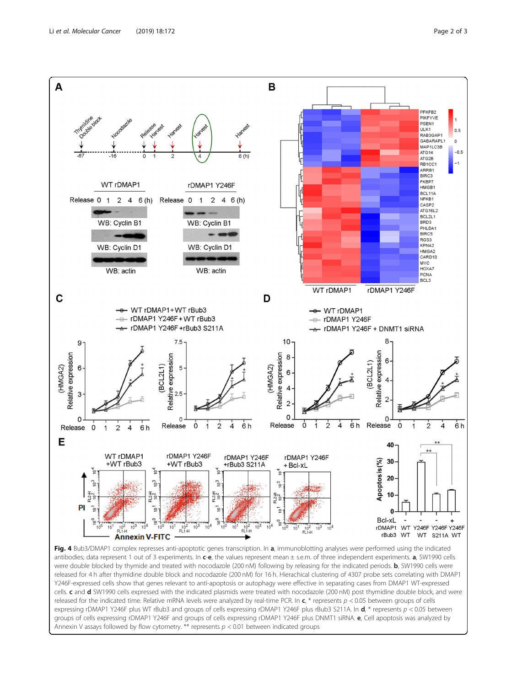<span id="page-1-0"></span>

Fig. 4 Bub3/DMAP1 complex represses anti-apoptotic genes transcription. In a, immunoblotting analyses were performed using the indicated antibodies; data represent 1 out of 3 experiments. In c-e, the values represent mean  $\pm$  s.e.m. of three independent experiments. a, SW1990 cells were double blocked by thymide and treated with nocodazole (200 nM) following by releasing for the indicated periods. **b**, SW1990 cells were released for 4 h after thymidine double block and nocodazole (200 nM) for 16 h. Hierachical clustering of 4307 probe sets correlating with DMAP1 Y246F-expressed cells show that genes relevant to anti-apoptosis or autophagy were effective in separating cases from DMAP1 WT-expressed cells. c and d SW1990 cells expressed with the indicated plasmids were treated with nocodazole (200 nM) post thymidine double block, and were released for the indicated time. Relative mRNA levels were analyzed by real-time PCR. In  $c$ ,  $*$  represents  $p$  < 0.05 between groups of cells expressing rDMAP1 Y246F plus WT rBub3 and groups of cells expressing rDMAP1 Y246F plus rBub3 S211A. In  $d$ , \* represents  $p < 0.05$  between groups of cells expressing rDMAP1 Y246F and groups of cells expressing rDMAP1 Y246F plus DNMT1 siRNA. e, Cell apoptosis was analyzed by Annexin V assays followed by flow cytometry. \*\* represents  $p < 0.01$  between indicated groups